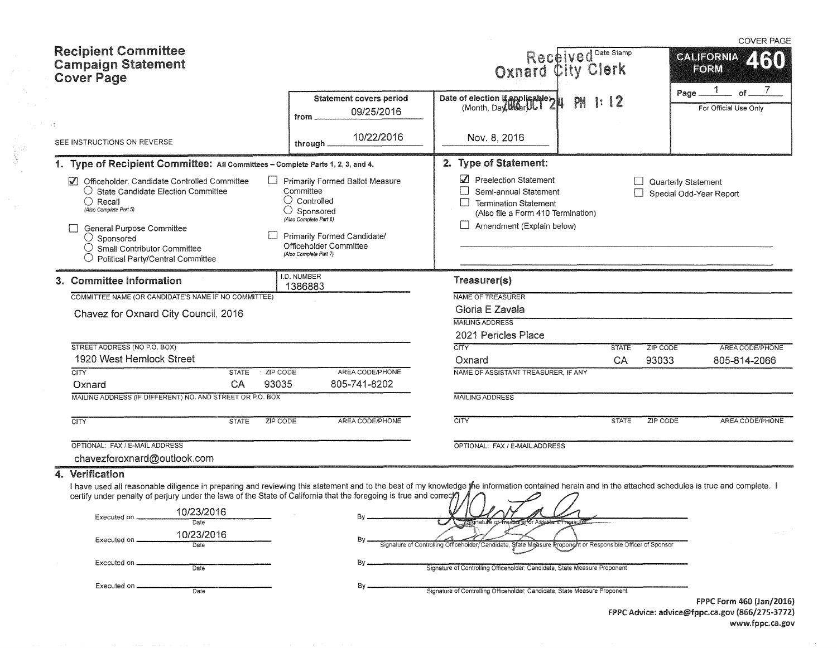|                                                                                                                                                                                                                                                                                                                             |                                                                                                                                                                                                                   |                                                                                                                                                   |              | <b>COVER PAGE</b>                              |
|-----------------------------------------------------------------------------------------------------------------------------------------------------------------------------------------------------------------------------------------------------------------------------------------------------------------------------|-------------------------------------------------------------------------------------------------------------------------------------------------------------------------------------------------------------------|---------------------------------------------------------------------------------------------------------------------------------------------------|--------------|------------------------------------------------|
| <b>Recipient Committee</b><br><b>Campaign Statement</b><br><b>Cover Page</b>                                                                                                                                                                                                                                                |                                                                                                                                                                                                                   | Received Date Stamp<br>Oxnard City Clerk                                                                                                          |              | <b>CALIFORNIA</b><br>460<br>FORM               |
| сţ.                                                                                                                                                                                                                                                                                                                         | Statement covers period<br>09/25/2016<br>from                                                                                                                                                                     | Date of election is applicable 2<br>PN                                                                                                            | $\ddots$ 12  | of<br>Page<br>For Official Use Only            |
| SEE INSTRUCTIONS ON REVERSE                                                                                                                                                                                                                                                                                                 | 10/22/2016<br>through.                                                                                                                                                                                            | Nov. 8, 2016                                                                                                                                      |              |                                                |
| 1. Type of Recipient Committee: All Committees - Complete Parts 1, 2, 3, and 4.                                                                                                                                                                                                                                             |                                                                                                                                                                                                                   | 2. Type of Statement:                                                                                                                             |              |                                                |
| Officeholder, Candidate Controlled Committee<br>$\sqrt{ }$<br>$\Box$<br>$\bigcirc$ State Candidate Election Committee<br>$\bigcirc$ Recall<br>(Also Complete Part 5)<br>General Purpose Committee<br>$\bigcirc$ Sponsored<br>Small Contributor Committee<br>Political Party/Central Committee                               | <b>Primarily Formed Ballot Measure</b><br>Committee<br>$\bigcirc$ Controlled<br>$\bigcirc$ Sponsored<br>(Also Complete Part 6)<br>Primarily Formed Candidate/<br>Officeholder Committee<br>(Also Complete Part 7) | Preelection Statement<br>Semi-annual Statement<br><b>Termination Statement</b><br>(Also file a Form 410 Termination)<br>Amendment (Explain below) |              | Quarterly Statement<br>Special Odd-Year Report |
| 3. Committee Information                                                                                                                                                                                                                                                                                                    | I.D. NUMBER<br>1386883                                                                                                                                                                                            | Treasurer(s)                                                                                                                                      |              |                                                |
| COMMITTEE NAME (OR CANDIDATE'S NAME IF NO COMMITTEE)                                                                                                                                                                                                                                                                        |                                                                                                                                                                                                                   | NAME OF TREASURER                                                                                                                                 |              |                                                |
| Chavez for Oxnard City Council, 2016                                                                                                                                                                                                                                                                                        |                                                                                                                                                                                                                   | Gloria E Zavala<br><b>MAILING ADDRESS</b>                                                                                                         |              |                                                |
|                                                                                                                                                                                                                                                                                                                             |                                                                                                                                                                                                                   | 2021 Pericles Place                                                                                                                               |              |                                                |
| STREET ADDRESS (NO P.O. BOX)                                                                                                                                                                                                                                                                                                |                                                                                                                                                                                                                   | <b>CITY</b>                                                                                                                                       | <b>STATE</b> | ZIP CODE<br>AREA CODE/PHONE                    |
| 1920 West Hemlock Street                                                                                                                                                                                                                                                                                                    |                                                                                                                                                                                                                   | Oxnard                                                                                                                                            | CA           | 93033<br>805-814-2066                          |
| <b>CITY</b><br>ZIP CODE<br><b>STATE</b><br>CA<br>93035<br>Oxnard                                                                                                                                                                                                                                                            | AREA CODE/PHONE<br>805-741-8202                                                                                                                                                                                   | NAME OF ASSISTANT TREASURER, IF ANY                                                                                                               |              |                                                |
| MAILING ADDRESS (IF DIFFERENT) NO. AND STREET OR P.O. BOX                                                                                                                                                                                                                                                                   |                                                                                                                                                                                                                   | <b>MAILING ADDRESS</b>                                                                                                                            |              |                                                |
| <b>CITY</b><br>ZIP CODE<br><b>STATE</b>                                                                                                                                                                                                                                                                                     | AREA CODE/PHONE                                                                                                                                                                                                   | <b>CITY</b>                                                                                                                                       | <b>STATE</b> | ZIP CODE<br>AREA CODE/PHONE                    |
| OPTIONAL: FAX / E-MAIL ADDRESS<br>chavezforoxnard@outlook.com                                                                                                                                                                                                                                                               |                                                                                                                                                                                                                   | OPTIONAL: FAX / E-MAIL ADDRESS                                                                                                                    |              |                                                |
| 4. Verification                                                                                                                                                                                                                                                                                                             |                                                                                                                                                                                                                   |                                                                                                                                                   |              |                                                |
| I have used all reasonable diligence in preparing and reviewing this statement and to the best of my knowledge the information contained herein and in the attached schedules is true and complete. I<br>certify under penalty of perjury under the laws of the State of California that the foregoing is true and correct? |                                                                                                                                                                                                                   |                                                                                                                                                   |              |                                                |
| 10/23/2016                                                                                                                                                                                                                                                                                                                  |                                                                                                                                                                                                                   |                                                                                                                                                   |              |                                                |
| Executed on .<br>Date                                                                                                                                                                                                                                                                                                       | By.                                                                                                                                                                                                               |                                                                                                                                                   |              |                                                |
| 10/23/2016<br>Executed on<br>Date                                                                                                                                                                                                                                                                                           |                                                                                                                                                                                                                   | Signature of Controlling Officeholder/Candidate, State Measure Proponent or Responsible Officer of Sponsor                                        |              |                                                |
| Executed on<br>Date                                                                                                                                                                                                                                                                                                         | By _                                                                                                                                                                                                              | Signature of Controlling Officeholder, Candidate, State Measure Proponent                                                                         |              |                                                |
| Executed on<br>Date                                                                                                                                                                                                                                                                                                         | By.                                                                                                                                                                                                               | Signature of Controlling Officeholder, Candidate, State Measure Proponent                                                                         |              |                                                |

FPPC Form 460 (Jan/2016) FPPC Advice: advice@fppc.ca.gov (866/275-3772) www.fppc.ca.gov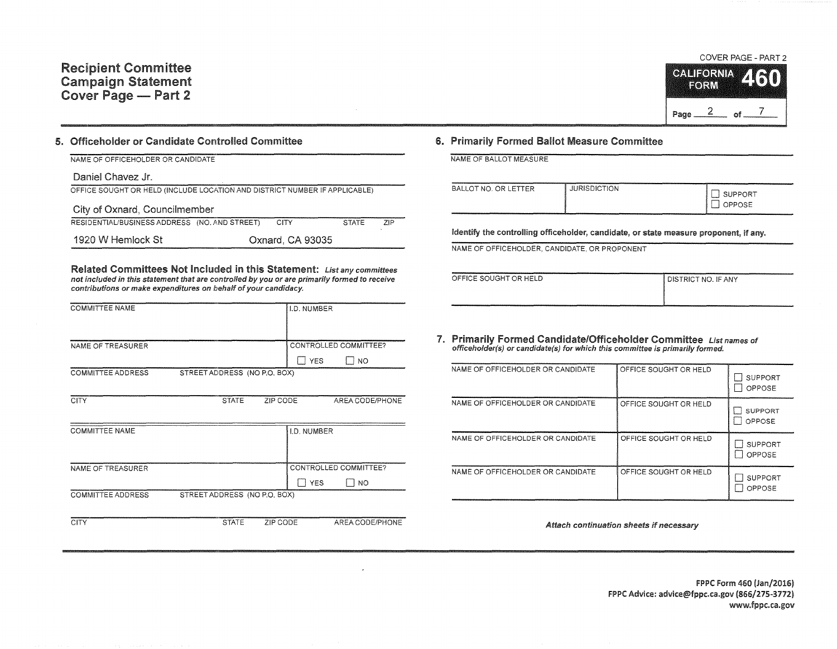# **CALIEORNIA** EORM Page  $\frac{2}{\sqrt{7}}$  of  $\frac{7}{\sqrt{7}}$

COVER PAGE - PART 2

#### 5. Officeholder or Candidate Controlled Committee

| NAME OF OFFICEHOLDER OR CANDIDATE                                          |  |                  |              |     |  |
|----------------------------------------------------------------------------|--|------------------|--------------|-----|--|
| Daniel Chavez Jr.                                                          |  |                  |              |     |  |
| OFFICE SOUGHT OR HELD (INCLUDE LOCATION AND DISTRICT NUMBER IF APPLICABLE) |  |                  |              |     |  |
| City of Oxnard, Councilmember                                              |  |                  |              |     |  |
| RESIDENTIAL/BUSINESS ADDRESS (NO. AND STREET)                              |  | <b>CITY</b>      | <b>STATE</b> | 7IP |  |
| 1920 W Hemlock St                                                          |  | Oxnard, CA 93035 |              |     |  |

Related Committees Not Included in this Statement: List any committees not included in this statement that are controlled by you or are primarily formed to receive contributions or make expenditures on behalf of your candidacy.

| <b>COMMITTEE NAME</b>    |                              |          | <b>I.D. NUMBER</b> |                       |
|--------------------------|------------------------------|----------|--------------------|-----------------------|
| NAME OF TREASURER        |                              |          |                    | CONTROLLED COMMITTEE? |
|                          |                              |          | <b>YES</b>         | <b>NO</b>             |
| <b>COMMITTEE ADDRESS</b> | STREET ADDRESS (NO P.O. BOX) |          |                    |                       |
|                          |                              |          |                    |                       |
| <b>CITY</b>              | <b>STATE</b>                 | ZIP CODE |                    | AREA CODE/PHONE       |
|                          |                              |          |                    |                       |
| <b>COMMITTEE NAME</b>    |                              |          | <b>I.D. NUMBER</b> |                       |
|                          |                              |          |                    |                       |
|                          |                              |          |                    |                       |
| NAME OF TREASURER        |                              |          |                    | CONTROLLED COMMITTEE? |

COMMITTEE ADDRESS STREET ADDRESS (NO P.O. BOX)

CITY STATE ZIP CODE AREA CODE/PHONE

 $\Box$  YES  $\Box$  NO

### 6. Primarily Formed Ballot Measure Committee

NAME OF BALLOT MEASURE

| BALLOT NO. OR LETTER | <b>JURISDICTION</b> | <b>SUPPORT</b><br>)PPOSE |
|----------------------|---------------------|--------------------------|
|                      |                     |                          |

Identify the controlling officeholder, candidate, or state measure proponent, if any.

NAME OF OFFICEHOLDER, CANDIDATE, OR PROPONENT

| OFFICE SOUGHT OR HELD | <b>I DISTRICT NO. IF ANY</b> |
|-----------------------|------------------------------|
|                       |                              |
|                       |                              |

7. Primarily Formed Candidate/Officeholder Committee List names of officeholder(s) or candidate(s) for which this committee is primarily formed.

| NAME OF OFFICEHOLDER OR CANDIDATE | OFFICE SOUGHT OR HELD | <b>SUPPORT</b><br>OPPOSE |
|-----------------------------------|-----------------------|--------------------------|
| NAME OF OFFICEHOLDER OR CANDIDATE | OFFICE SOUGHT OR HELD | <b>SUPPORT</b><br>OPPOSE |
| NAME OF OFFICEHOLDER OR CANDIDATE | OFFICE SOUGHT OR HELD | SUPPORT<br>OPPOSE        |
| NAME OF OFFICEHOLDER OR CANDIDATE | OFFICE SOUGHT OR HELD | SUPPORT<br>OPPOSE        |

Attach continuation sheets if necessary

FPPC Form 460 (Jan/2016) FPPC Advice: advice@fppc.ca.gov {866/275-3772) www.fppc.ca.gov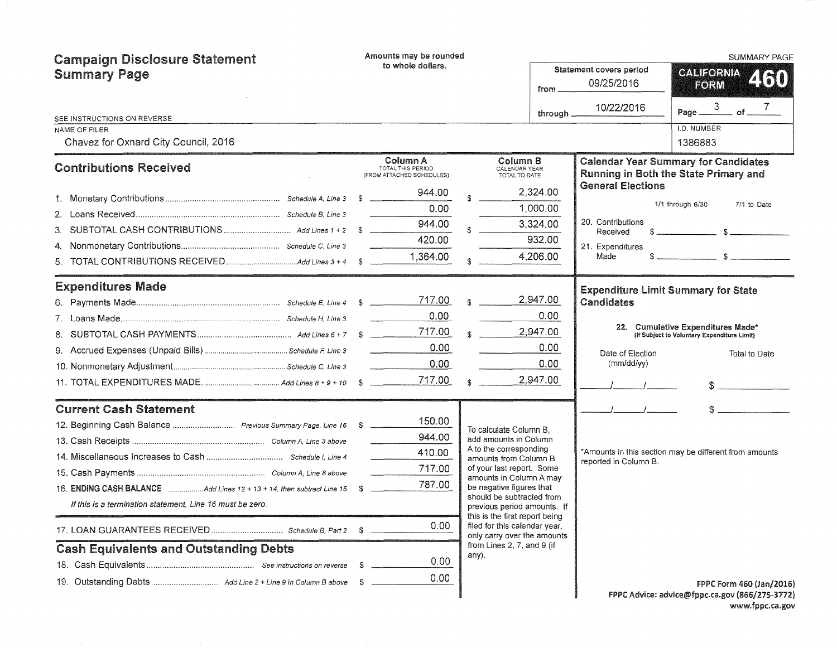| <b>Campaign Disclosure Statement</b>                                     | Amounts may be rounded                                     |                                                                                                |          |                                              | <b>SUMMARY PAGE</b>                                                                                                                                                                                                                                                                                                 |
|--------------------------------------------------------------------------|------------------------------------------------------------|------------------------------------------------------------------------------------------------|----------|----------------------------------------------|---------------------------------------------------------------------------------------------------------------------------------------------------------------------------------------------------------------------------------------------------------------------------------------------------------------------|
| <b>Summary Page</b>                                                      | to whole dollars.<br>from.                                 |                                                                                                |          | <b>Statement covers period</b><br>09/25/2016 | <b>GALIFORNIA</b><br>2130<br>FORM                                                                                                                                                                                                                                                                                   |
|                                                                          |                                                            |                                                                                                | through. | 10/22/2016                                   | of $-$<br>Page __                                                                                                                                                                                                                                                                                                   |
| SEE INSTRUCTIONS ON REVERSE<br>NAME OF FILER                             |                                                            |                                                                                                |          |                                              | I.D. NUMBER                                                                                                                                                                                                                                                                                                         |
| Chavez for Oxnard City Council, 2016                                     |                                                            |                                                                                                |          |                                              | 1386883                                                                                                                                                                                                                                                                                                             |
| <b>Contributions Received</b>                                            | Column A<br>TOTAL THIS PERIOD<br>(FROM ATTACHED SCHEDULES) | Column B<br>CALENDAR YEAR<br>TOTAL TO DATE                                                     |          |                                              | <b>Calendar Year Summary for Candidates</b><br>Running in Both the State Primary and                                                                                                                                                                                                                                |
|                                                                          | 944.00                                                     |                                                                                                | 2,324.00 | <b>General Elections</b>                     |                                                                                                                                                                                                                                                                                                                     |
|                                                                          | 0.00                                                       |                                                                                                | 1,000.00 |                                              | 1/1 through 6/30<br>7/1 to Date                                                                                                                                                                                                                                                                                     |
| 3.                                                                       | 944.00                                                     |                                                                                                | 3,324.00 | 20. Contributions                            |                                                                                                                                                                                                                                                                                                                     |
| 4.                                                                       | 420.00                                                     |                                                                                                | 932.00   | Received<br>21. Expenditures                 |                                                                                                                                                                                                                                                                                                                     |
| 5.                                                                       | 1,364.00                                                   |                                                                                                | 4,206.00 | Made                                         | $\frac{1}{2}$ $\frac{1}{2}$ $\frac{1}{2}$ $\frac{1}{2}$ $\frac{1}{2}$ $\frac{1}{2}$ $\frac{1}{2}$ $\frac{1}{2}$ $\frac{1}{2}$ $\frac{1}{2}$ $\frac{1}{2}$ $\frac{1}{2}$ $\frac{1}{2}$ $\frac{1}{2}$ $\frac{1}{2}$ $\frac{1}{2}$ $\frac{1}{2}$ $\frac{1}{2}$ $\frac{1}{2}$ $\frac{1}{2}$ $\frac{1}{2}$ $\frac{1}{2}$ |
| <b>Expenditures Made</b>                                                 |                                                            |                                                                                                |          |                                              | <b>Expenditure Limit Summary for State</b>                                                                                                                                                                                                                                                                          |
|                                                                          | 717.00                                                     |                                                                                                | 2,947.00 | Candidates                                   |                                                                                                                                                                                                                                                                                                                     |
|                                                                          | 0.00                                                       |                                                                                                | 0.00     |                                              |                                                                                                                                                                                                                                                                                                                     |
|                                                                          | 717.00                                                     |                                                                                                | 2,947.00 |                                              | 22. Cumulative Expenditures Made*<br>(If Subject to Voluntary Expenditure Limit)                                                                                                                                                                                                                                    |
|                                                                          | 0.00                                                       |                                                                                                | 0.00     | Date of Election                             | Total to Date                                                                                                                                                                                                                                                                                                       |
|                                                                          | 0.00                                                       |                                                                                                | 0.00     | (mm/dd/yy)                                   |                                                                                                                                                                                                                                                                                                                     |
|                                                                          | 717.00                                                     |                                                                                                | 2,947.00 |                                              |                                                                                                                                                                                                                                                                                                                     |
| <b>Current Cash Statement</b>                                            |                                                            |                                                                                                |          |                                              |                                                                                                                                                                                                                                                                                                                     |
|                                                                          | 150.00                                                     | To calculate Column B.                                                                         |          |                                              |                                                                                                                                                                                                                                                                                                                     |
|                                                                          | 944.00                                                     | add amounts in Column                                                                          |          |                                              |                                                                                                                                                                                                                                                                                                                     |
|                                                                          | 410.00                                                     | A to the corresponding<br>amounts from Column B                                                |          | reported in Column B.                        | *Amounts in this section may be different from amounts                                                                                                                                                                                                                                                              |
|                                                                          | 717.00                                                     | of your last report. Some<br>amounts in Column A may                                           |          |                                              |                                                                                                                                                                                                                                                                                                                     |
| 16. ENDING CASH BALANCE Add Lines 12 + 13 + 14, then subtract Line 15 \$ | 787.00                                                     | be negative figures that                                                                       |          |                                              |                                                                                                                                                                                                                                                                                                                     |
| If this is a termination statement, Line 16 must be zero.                |                                                            | should be subtracted from<br>previous period amounts. If                                       |          |                                              |                                                                                                                                                                                                                                                                                                                     |
|                                                                          | 0.00                                                       | this is the first report being<br>filed for this calendar year.<br>only carry over the amounts |          |                                              |                                                                                                                                                                                                                                                                                                                     |
| <b>Cash Equivalents and Outstanding Debts</b>                            |                                                            | from Lines 2, 7, and 9 (if<br>any).                                                            |          |                                              |                                                                                                                                                                                                                                                                                                                     |
|                                                                          | 0.00<br>- \$                                               |                                                                                                |          |                                              |                                                                                                                                                                                                                                                                                                                     |
|                                                                          | 0.00<br>- S                                                |                                                                                                |          |                                              | FPPC Form 460 (Jan/2016)                                                                                                                                                                                                                                                                                            |
|                                                                          |                                                            |                                                                                                |          |                                              | FPPC Advice: advice@fppc.ca.gov (866/275-3772)                                                                                                                                                                                                                                                                      |

www.fppc.ca.gov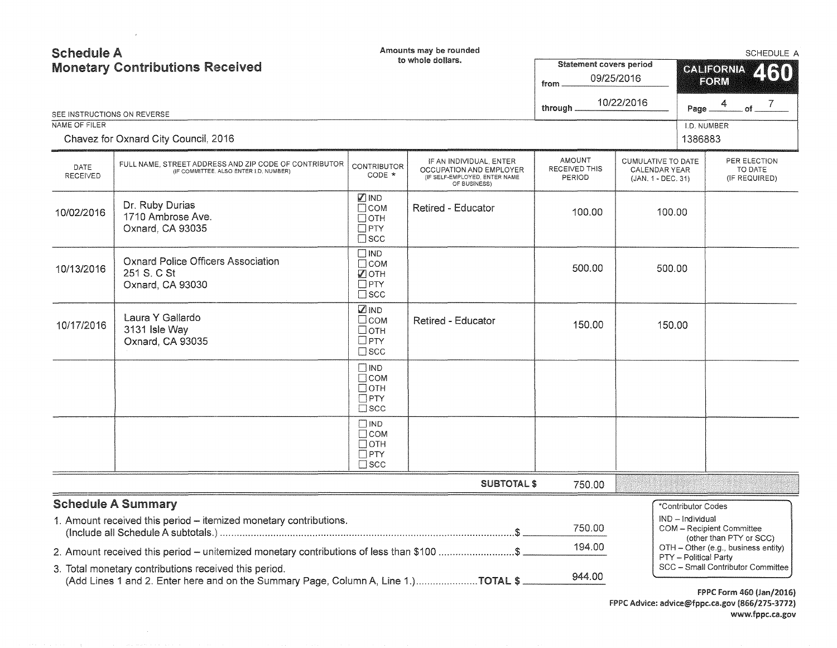| <b>Schedule A</b> | <b>Monetary Contributions Received</b>                                                                                                      |                                                                              | Amounts may be rounded<br>to whole dollars.                                                         | <b>Statement covers period</b><br>09/25/2016<br>from |                                                                  |                        | <b>SCHEDULE A</b><br><b>CALIFORNIA</b><br>260<br>FORM          |  |  |
|-------------------|---------------------------------------------------------------------------------------------------------------------------------------------|------------------------------------------------------------------------------|-----------------------------------------------------------------------------------------------------|------------------------------------------------------|------------------------------------------------------------------|------------------------|----------------------------------------------------------------|--|--|
|                   | SEE INSTRUCTIONS ON REVERSE                                                                                                                 |                                                                              |                                                                                                     | through _                                            | 10/22/2016                                                       | Page _                 | 4<br>. of $ ^7$                                                |  |  |
| NAME OF FILER     | Chavez for Oxnard City Council, 2016                                                                                                        |                                                                              |                                                                                                     |                                                      |                                                                  | I.D. NUMBER<br>1386883 |                                                                |  |  |
| DATE<br>RECEIVED  | FULL NAME, STREET ADDRESS AND ZIP CODE OF CONTRIBUTOR<br>(IF COMMITTEE, ALSO ENTER I,D, NUMBER)                                             | <b>CONTRIBUTOR</b><br>CODE *                                                 | IF AN INDIVIDUAL, ENTER<br>OCCUPATION AND EMPLOYER<br>(IF SELF-EMPLOYED, ENTER NAME<br>OF BUSINESS) | <b>AMOUNT</b><br>RECEIVED THIS<br>PERIOD             | <b>CUMULATIVE TO DATE</b><br>CALENDAR YEAR<br>(JAN. 1 - DEC. 31) |                        | PER ELECTION<br>TO DATE<br>(IF REQUIRED)                       |  |  |
| 10/02/2016        | Dr. Ruby Durias<br>1710 Ambrose Ave.<br>Oxnard, CA 93035                                                                                    | $\n  D IND$<br>$\Box$ COM<br>$\Box$ OTH<br>$\Box$ PTY<br>$\square$ scc       | <b>Retired - Educator</b>                                                                           | 100.00                                               | 100.00                                                           |                        |                                                                |  |  |
| 10/13/2016        | <b>Oxnard Police Officers Association</b><br>251 S. C St<br>Oxnard, CA 93030                                                                | $\Box$ IND<br>$\Box$ COM<br>$\sqrt{2}$ OTH<br>$\square$ PTY<br>$\square$ scc |                                                                                                     | 500.00                                               | 500.00                                                           |                        |                                                                |  |  |
| 10/17/2016        | Laura Y Gallardo<br>3131 Isle Way<br>Oxnard, CA 93035                                                                                       | $\n  Q IND\n$<br>□сом<br>□отн<br>$\Box$ PTY<br>$\square$ scc                 | Retired - Educator                                                                                  | 150.00                                               | 150.00                                                           |                        |                                                                |  |  |
|                   |                                                                                                                                             | $\square$ IND<br>$\Box$ COM<br>$\Box$ OTH<br>$\Box$ PTY<br>$\square$ SCC     |                                                                                                     |                                                      |                                                                  |                        |                                                                |  |  |
|                   |                                                                                                                                             | $\square$ IND<br>$\Box$ COM<br>$\Box$ oth<br>$\Box$ PTY<br>$\square$ scc     |                                                                                                     |                                                      |                                                                  |                        |                                                                |  |  |
|                   |                                                                                                                                             |                                                                              | <b>SUBTOTAL \$</b>                                                                                  | 750.00                                               |                                                                  |                        |                                                                |  |  |
|                   | <b>Schedule A Summary</b>                                                                                                                   |                                                                              |                                                                                                     |                                                      |                                                                  | *Contributor Codes     |                                                                |  |  |
|                   | 1. Amount received this period - itemized monetary contributions.                                                                           |                                                                              |                                                                                                     | 750.00                                               |                                                                  | IND - Individual       | COM - Recipient Committee                                      |  |  |
|                   | 2. Amount received this period – unitemized monetary contributions of less than \$100 \$                                                    |                                                                              |                                                                                                     | 194.00                                               |                                                                  | PTY - Political Party  | (other than PTY or SCC)<br>OTH - Other (e.g., business entity) |  |  |
|                   | 3. Total monetary contributions received this period.<br>(Add Lines 1 and 2. Enter here and on the Summary Page, Column A, Line 1.)TOTAL \$ |                                                                              |                                                                                                     | 944.00                                               |                                                                  |                        | SCC - Small Contributor Committee                              |  |  |

 $\sim$   $\mu$ 

FPPC Form 460 (Jan/2016) FPPC Advice: advice@fppc.ca.gov (866/275-3772) www.fppc.ca.gov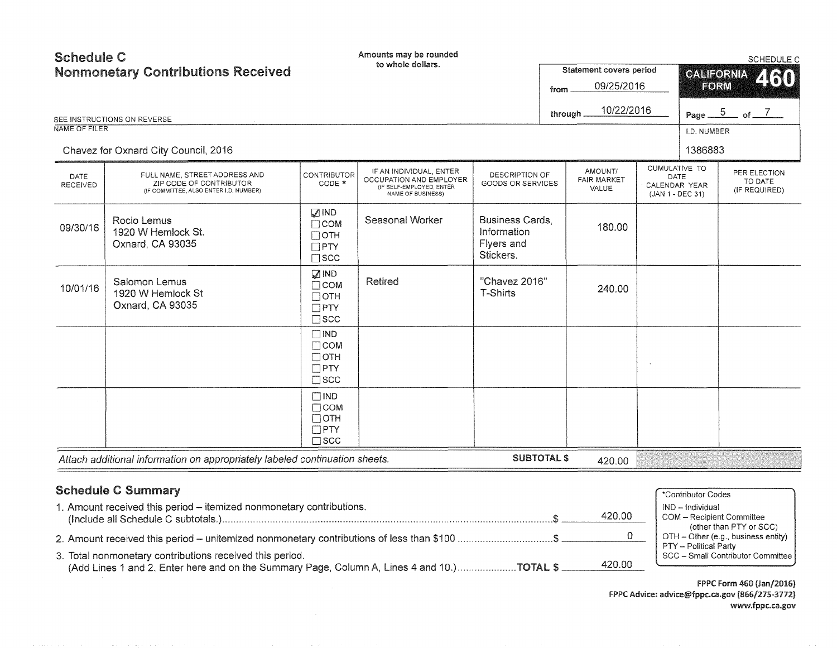| <b>Schedule C</b> | <b>Nonmonetary Contributions Received</b><br>SEE INSTRUCTIONS ON REVERSE                           |                                                                             | Amounts may be rounded<br>to whole dollars.                                                         |                                                                  | from | Statement covers period<br>09/25/2016<br>10/22/2016<br>through. | <b>CALIFORNIA</b><br>FORM                                  | SCHEDULE C<br>2130<br>Page $\frac{5}{2}$ of $\frac{7}{2}$ |
|-------------------|----------------------------------------------------------------------------------------------------|-----------------------------------------------------------------------------|-----------------------------------------------------------------------------------------------------|------------------------------------------------------------------|------|-----------------------------------------------------------------|------------------------------------------------------------|-----------------------------------------------------------|
| NAME OF FILER     |                                                                                                    |                                                                             |                                                                                                     |                                                                  |      |                                                                 | I.D. NUMBER                                                |                                                           |
|                   | Chavez for Oxnard City Council, 2016                                                               |                                                                             |                                                                                                     |                                                                  |      |                                                                 | 1386883                                                    |                                                           |
| DATE<br>RECEIVED  | FULL NAME, STREET ADDRESS AND<br>ZIP CODE OF CONTRIBUTOR<br>(IF COMMITTEE, ALSO ENTER I.D. NUMBER) | <b>CONTRIBUTOR</b><br>CODE *                                                | IF AN INDIVIDUAL, ENTER<br>OCCUPATION AND EMPLOYER<br>(IF SELF-EMPLOYED, ENTER<br>NAME OF BUSINESS) | DESCRIPTION OF<br>GOODS OR SERVICES                              |      | AMOUNT/<br><b>FAIR MARKET</b><br>VALUE                          | CUMULATIVE TO<br>DATE<br>CALENDAR YEAR<br>(JAN 1 - DEC 31) | PER ELECTION<br>TO DATE<br>(IF REQUIRED)                  |
| 09/30/16          | Rocio Lemus<br>1920 W Hemlock St.<br>Oxnard, CA 93035                                              | $\sqrt{ }$ IND<br>$\Box$ COM<br>$\Box$ OTH<br>$\Box$ PTY<br>$\square$ scc   | Seasonal Worker                                                                                     | <b>Business Cards.</b><br>Information<br>Flyers and<br>Stickers. |      | 180.00                                                          |                                                            |                                                           |
| 10/01/16          | Salomon Lemus<br>1920 W Hemlock St<br>Oxnard, CA 93035                                             | $\sqrt{2}$ IND<br>$\Box$ COM<br>$\Box$ OTH<br>$\Box$ PTY<br>$\square$ scc   | Retired                                                                                             | "Chavez 2016"<br>T-Shirts                                        |      | 240.00                                                          |                                                            |                                                           |
|                   |                                                                                                    | $\square$ IND<br>$\Box$ COM<br>$\Box$ OTH<br>$\square$ PTY<br>$\square$ scc |                                                                                                     |                                                                  |      |                                                                 |                                                            |                                                           |
|                   |                                                                                                    | $\Box$ IND<br>$\Box$ COM<br>$\Box$ OTH<br>$\Box$ PTY<br>$\square$ SCC       |                                                                                                     |                                                                  |      |                                                                 |                                                            |                                                           |
|                   | Attach additional information on appropriately labeled continuation sheets.                        |                                                                             |                                                                                                     | <b>SUBTOTAL \$</b>                                               |      | 420.00                                                          |                                                            |                                                           |
|                   | <b>Schedule C Summary</b><br>1. Amount received this period - itemized nonmonetary contributions.  |                                                                             |                                                                                                     |                                                                  |      | 420.00                                                          | *Contributor Codes<br>IND - Individual                     | <b>COM</b> - Recipient Committee                          |

3. Total nonmonetary contributions received this period.<br>
(Add Lines 1 and 2 Enter here and on the Summary Page Column A Lines 4 and 10) **TOTAL \$** 420.00 (Add Lines 1 and 2. Enter here and on the Summary Page, Column A, Lines 4 and 10.) ........................... TOTAL  $$$ 

2. Amount received this period - unitemized nonmonetary contributions of less than \$100 .................................\$

FPPC Form 460 (Jan/2016) FPPC Advice: advice@fppc.ca.gov (866/275-3712) www.fppc.ca.gov

PTY - Political Party

(other than PTY or SCC)  $OTH - Other$  (e.g., business entity)

0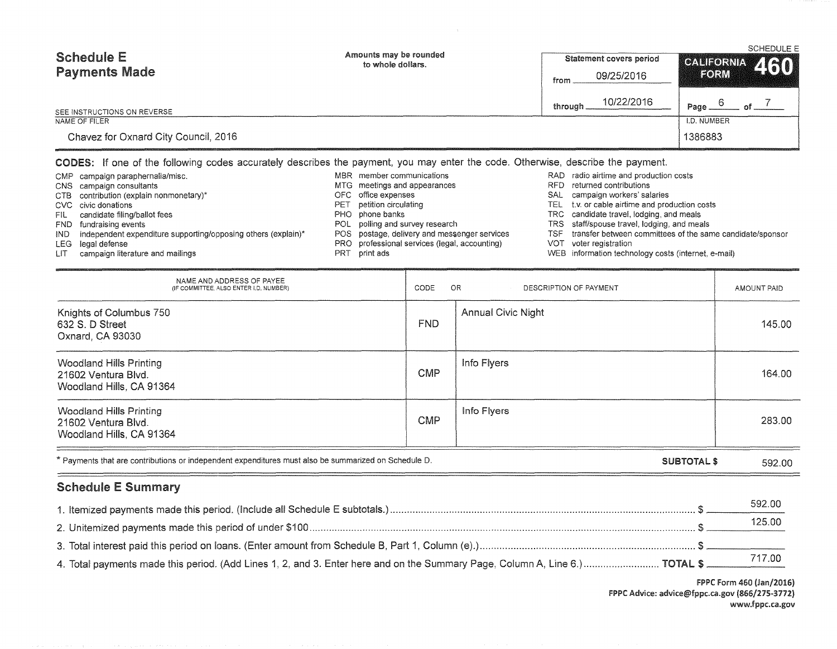| <b>Schedule E</b>                    | Amounts may be rounded<br>to whole dollars. | Statement covers period | <b>SCHEDULE E</b><br>CALIFORNIA 460 |  |  |
|--------------------------------------|---------------------------------------------|-------------------------|-------------------------------------|--|--|
| <b>Payments Made</b>                 |                                             | 09/25/2016<br>from      | FORM                                |  |  |
| SEE INSTRUCTIONS ON REVERSE          |                                             | 10/22/2016<br>through.  | Page.                               |  |  |
| NAME OF FILER                        |                                             |                         | I.D. NUMBER                         |  |  |
| Chavez for Oxnard City Council, 2016 |                                             |                         | 1386883                             |  |  |

### CODES: If one of the following codes accurately describes the payment, you may enter the code. Otherwise, describe the payment.

|            | CMP campaign paraphernalia/misc.                              |     | MBR member communications                     |     | RAD radio airtime and production costs                    |
|------------|---------------------------------------------------------------|-----|-----------------------------------------------|-----|-----------------------------------------------------------|
|            | CNS campaign consultants                                      |     | MTG meetings and appearances                  |     | RFD returned contributions                                |
|            | CTB contribution (explain nonmonetary)*                       |     | OFC office expenses                           |     | SAL campaign workers' salaries                            |
|            | CVC civic donations                                           |     | PET petition circulating                      |     | TEL t.v. or cable airtime and production costs            |
| FIL -      | candidate filing/ballot fees                                  |     | PHO phone banks                               |     | TRC candidate travel, lodging, and meals                  |
|            | FND fundraising events                                        |     | POL polling and survey research               |     | TRS staff/spouse travel, lodging, and meals               |
| IND.       | independent expenditure supporting/opposing others (explain)* |     | POS postage, delivery and messenger services  | TSF | transfer between committees of the same candidate/sponsor |
|            | LEG legal defense                                             |     | PRO professional services (legal, accounting) |     | VOT voter registration                                    |
| <b>LIT</b> | campaign literature and mailings                              | PRT | print ads                                     |     | WEB information technology costs (internet, e-mail)       |

| NAME AND ADDRESS OF PAYEE<br>(IF COMMITTEE, ALSO ENTER I.D. NUMBER)               | CODE       | OR.<br>DESCRIPTION OF PAYMENT |        |  |
|-----------------------------------------------------------------------------------|------------|-------------------------------|--------|--|
| Knights of Columbus 750<br>632 S. D Street<br>Oxnard, CA 93030                    | <b>FND</b> | <b>Annual Civic Night</b>     | 145.00 |  |
| <b>Woodland Hills Printing</b><br>21602 Ventura Blvd.<br>Woodland Hills, CA 91364 | <b>CMP</b> | Info Flyers                   | 164.00 |  |
| Woodland Hills Printing<br>21602 Ventura Blvd.<br>Woodland Hills, CA 91364        | <b>CMP</b> | Info Flyers                   | 283.00 |  |

| * Payments that are contributions or independent expenditures must also be summarized on Schedule D.<br><b>SUBTOTAL</b><br>592.00 |
|-----------------------------------------------------------------------------------------------------------------------------------|
|-----------------------------------------------------------------------------------------------------------------------------------|

## Schedule E Summary

|                                                                                                                                           | 592.00 |
|-------------------------------------------------------------------------------------------------------------------------------------------|--------|
|                                                                                                                                           | 125.00 |
|                                                                                                                                           |        |
| 4. Total payments made this period. (Add Lines 1, 2, and 3. Enter here and on the Summary Page, Column A, Line 6.) TOTAL \$ _______717.00 |        |